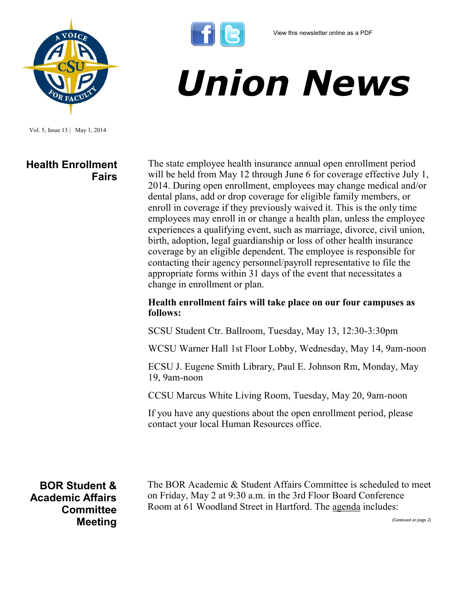

Vol. 5, Issue 13 | May 1, 2014

## **Health Enrollment Fairs**

The state employee health insurance annual open enrollment period will be held from May 12 through June 6 for coverage effective July 1, 2014. During open enrollment, employees may change medical and/or dental plans, add or drop coverage for eligible family members, or enroll in coverage if they previously waived it. This is the only time employees may enroll in or change a health plan, unless the employee experiences a qualifying event, such as marriage, divorce, civil union, birth, adoption, legal guardianship or loss of other health insurance coverage by an eligible dependent. The employee is responsible for contacting their agency personnel/payroll representative to file the appropriate forms within 31 days of the event that necessitates a change in enrollment or plan.

*Union News*

## **Health enrollment fairs will take place on our four campuses as follows:**

SCSU Student Ctr. Ballroom, Tuesday, May 13, 12:30-3:30pm

WCSU Warner Hall 1st Floor Lobby, Wednesday, May 14, 9am-noon

ECSU J. Eugene Smith Library, Paul E. Johnson Rm, Monday, May 19, 9am-noon

CCSU Marcus White Living Room, Tuesday, May 20, 9am-noon

If you have any questions about the open enrollment period, please contact your local Human Resources office.

**BOR Student & Academic Affairs Committee Meeting**

The BOR Academic & Student Affairs Committee is scheduled to meet on Friday, May 2 at 9:30 a.m. in the 3rd Floor Board Conference Room at 61 Woodland Street in Hartford. The [agenda](http://www.ct.edu/images/uploads/ASA-Agenda-05-02-2014.pdf) includes:

*(Continued on page 2)*